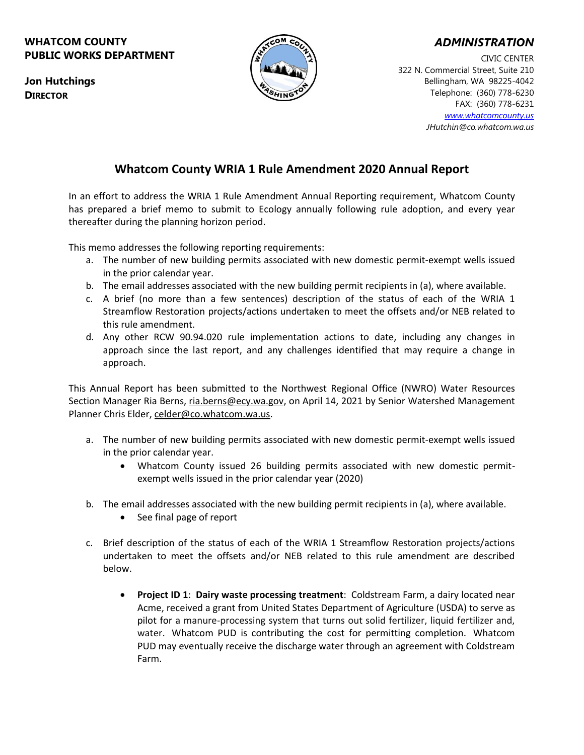### **WHATCOM COUNTY PUBLIC WORKS DEPARTMENT**



## *ADMINISTRATION*

CIVIC CENTER 322 N. Commercial Street, Suite 210 Bellingham, WA 98225-4042 Telephone: (360) 778-6230 FAX: (360) 778-6231 *[www.whatcomcounty.us](http://www.whatcomcounty.us/) JHutchin@co.whatcom.wa.us*

# **Whatcom County WRIA 1 Rule Amendment 2020 Annual Report**

In an effort to address the WRIA 1 Rule Amendment Annual Reporting requirement, Whatcom County has prepared a brief memo to submit to Ecology annually following rule adoption, and every year thereafter during the planning horizon period.

This memo addresses the following reporting requirements:

- a. The number of new building permits associated with new domestic permit-exempt wells issued in the prior calendar year.
- b. The email addresses associated with the new building permit recipients in (a), where available.
- c. A brief (no more than a few sentences) description of the status of each of the WRIA 1 Streamflow Restoration projects/actions undertaken to meet the offsets and/or NEB related to this rule amendment.
- d. Any other RCW 90.94.020 rule implementation actions to date, including any changes in approach since the last report, and any challenges identified that may require a change in approach.

This Annual Report has been submitted to the Northwest Regional Office (NWRO) Water Resources Section Manager Ria Berns, [ria.berns@ecy.wa.gov,](mailto:ria.berns@ecy.wa.gov) on April 14, 2021 by Senior Watershed Management Planner Chris Elder, [celder@co.whatcom.wa.us.](mailto:celder@co.whatcom.wa.us)

- a. The number of new building permits associated with new domestic permit-exempt wells issued in the prior calendar year.
	- Whatcom County issued 26 building permits associated with new domestic permitexempt wells issued in the prior calendar year (2020)
- b. The email addresses associated with the new building permit recipients in (a), where available.
	- See final page of report
- c. Brief description of the status of each of the WRIA 1 Streamflow Restoration projects/actions undertaken to meet the offsets and/or NEB related to this rule amendment are described below.
	- **Project ID 1**: **Dairy waste processing treatment**: Coldstream Farm, a dairy located near Acme, received a grant from United States Department of Agriculture (USDA) to serve as pilot for a manure-processing system that turns out solid fertilizer, liquid fertilizer and, water. Whatcom PUD is contributing the cost for permitting completion. Whatcom PUD may eventually receive the discharge water through an agreement with Coldstream Farm.

**Jon Hutchings DIRECTOR**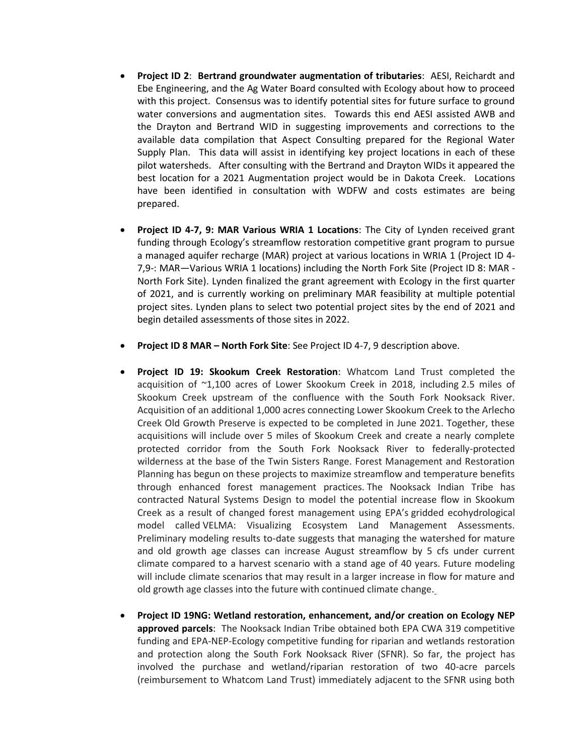- **Project ID 2**: **Bertrand groundwater augmentation of tributaries**: AESI, Reichardt and Ebe Engineering, and the Ag Water Board consulted with Ecology about how to proceed with this project. Consensus was to identify potential sites for future surface to ground water conversions and augmentation sites. Towards this end AESI assisted AWB and the Drayton and Bertrand WID in suggesting improvements and corrections to the available data compilation that Aspect Consulting prepared for the Regional Water Supply Plan. This data will assist in identifying key project locations in each of these pilot watersheds. After consulting with the Bertrand and Drayton WIDs it appeared the best location for a 2021 Augmentation project would be in Dakota Creek. Locations have been identified in consultation with WDFW and costs estimates are being prepared.
- **Project ID 4-7, 9: MAR Various WRIA 1 Locations**: The City of Lynden received grant funding through Ecology's streamflow restoration competitive grant program to pursue a managed aquifer recharge (MAR) project at various locations in WRIA 1 (Project ID 4- 7,9-: MAR—Various WRIA 1 locations) including the North Fork Site (Project ID 8: MAR - North Fork Site). Lynden finalized the grant agreement with Ecology in the first quarter of 2021, and is currently working on preliminary MAR feasibility at multiple potential project sites. Lynden plans to select two potential project sites by the end of 2021 and begin detailed assessments of those sites in 2022.
- **Project ID 8 MAR – North Fork Site**: See Project ID 4-7, 9 description above.
- **Project ID 19: Skookum Creek Restoration**: Whatcom Land Trust completed the acquisition of ~1,100 acres of Lower Skookum Creek in 2018, including 2.5 miles of Skookum Creek upstream of the confluence with the South Fork Nooksack River. Acquisition of an additional 1,000 acres connecting Lower Skookum Creek to the Arlecho Creek Old Growth Preserve is expected to be completed in June 2021. Together, these acquisitions will include over 5 miles of Skookum Creek and create a nearly complete protected corridor from the South Fork Nooksack River to federally-protected wilderness at the base of the Twin Sisters Range. Forest Management and Restoration Planning has begun on these projects to maximize streamflow and temperature benefits through enhanced forest management practices. The Nooksack Indian Tribe has contracted Natural Systems Design to model the potential increase flow in Skookum Creek as a result of changed forest management using EPA's gridded ecohydrological model called VELMA: Visualizing Ecosystem Land Management Assessments. Preliminary modeling results to-date suggests that managing the watershed for mature and old growth age classes can increase August streamflow by 5 cfs under current climate compared to a harvest scenario with a stand age of 40 years. Future modeling will include climate scenarios that may result in a larger increase in flow for mature and old growth age classes into the future with continued climate change.
- **Project ID 19NG: Wetland restoration, enhancement, and/or creation on Ecology NEP approved parcels**: The Nooksack Indian Tribe obtained both EPA CWA 319 competitive funding and EPA-NEP-Ecology competitive funding for riparian and wetlands restoration and protection along the South Fork Nooksack River (SFNR). So far, the project has involved the purchase and wetland/riparian restoration of two 40-acre parcels (reimbursement to Whatcom Land Trust) immediately adjacent to the SFNR using both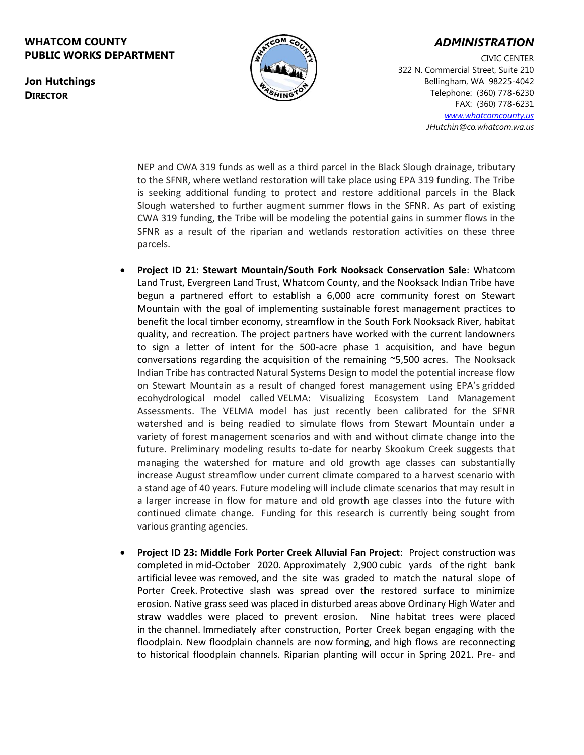### **WHATCOM COUNTY PUBLIC WORKS DEPARTMENT**



### *ADMINISTRATION*

CIVIC CENTER 322 N. Commercial Street, Suite 210 Bellingham, WA 98225-4042 Telephone: (360) 778-6230 FAX: (360) 778-6231 *[www.whatcomcounty.us](http://www.whatcomcounty.us/) JHutchin@co.whatcom.wa.us*

NEP and CWA 319 funds as well as a third parcel in the Black Slough drainage, tributary to the SFNR, where wetland restoration will take place using EPA 319 funding. The Tribe is seeking additional funding to protect and restore additional parcels in the Black Slough watershed to further augment summer flows in the SFNR. As part of existing CWA 319 funding, the Tribe will be modeling the potential gains in summer flows in the SFNR as a result of the riparian and wetlands restoration activities on these three parcels.

- **Project ID 21: Stewart Mountain/South Fork Nooksack Conservation Sale**: Whatcom Land Trust, Evergreen Land Trust, Whatcom County, and the Nooksack Indian Tribe have begun a partnered effort to establish a 6,000 acre community forest on Stewart Mountain with the goal of implementing sustainable forest management practices to benefit the local timber economy, streamflow in the South Fork Nooksack River, habitat quality, and recreation. The project partners have worked with the current landowners to sign a letter of intent for the 500-acre phase 1 acquisition, and have begun conversations regarding the acquisition of the remaining ~5,500 acres. The Nooksack Indian Tribe has contracted Natural Systems Design to model the potential increase flow on Stewart Mountain as a result of changed forest management using EPA's gridded ecohydrological model called VELMA: Visualizing Ecosystem Land Management Assessments. The VELMA model has just recently been calibrated for the SFNR watershed and is being readied to simulate flows from Stewart Mountain under a variety of forest management scenarios and with and without climate change into the future. Preliminary modeling results to-date for nearby Skookum Creek suggests that managing the watershed for mature and old growth age classes can substantially increase August streamflow under current climate compared to a harvest scenario with a stand age of 40 years. Future modeling will include climate scenarios that may result in a larger increase in flow for mature and old growth age classes into the future with continued climate change. Funding for this research is currently being sought from various granting agencies.
- **Project ID 23: Middle Fork Porter Creek Alluvial Fan Project**: Project construction was completed in mid-October 2020. Approximately 2,900 cubic yards of the right bank artificial levee was removed, and the site was graded to match the natural slope of Porter Creek. Protective slash was spread over the restored surface to minimize erosion. Native grass seed was placed in disturbed areas above Ordinary High Water and straw waddles were placed to prevent erosion. Nine habitat trees were placed in the channel. Immediately after construction, Porter Creek began engaging with the floodplain. New floodplain channels are now forming, and high flows are reconnecting to historical floodplain channels. Riparian planting will occur in Spring 2021. Pre- and

**Jon Hutchings DIRECTOR**